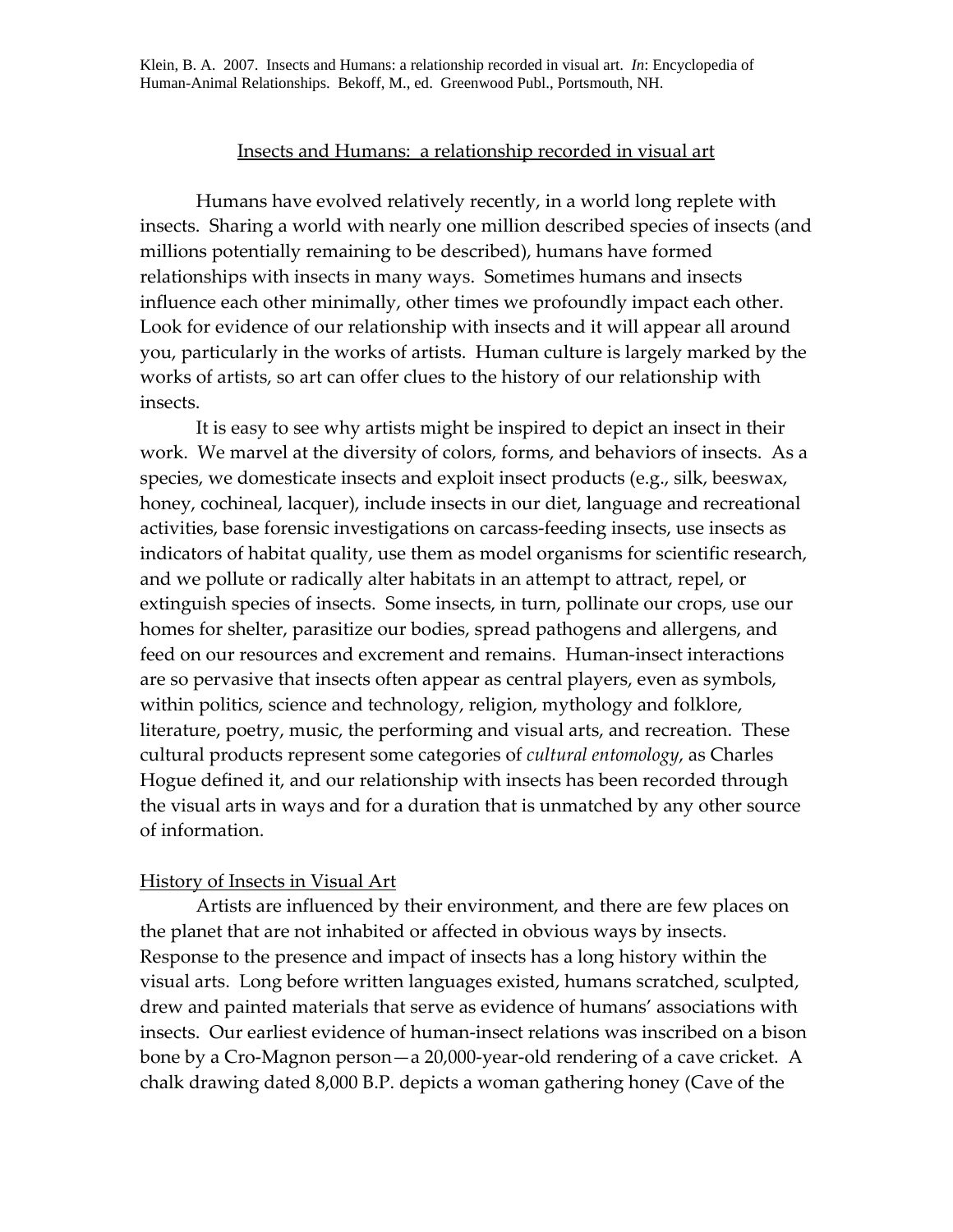Klein, B. A. 2007. Insects and Humans: a relationship recorded in visual art. *In*: Encyclopedia of Human-Animal Relationships. Bekoff, M., ed. Greenwood Publ., Portsmouth, NH.

### Insects and Humans: a relationship recorded in visual art

Humans have evolved relatively recently, in a world long replete with insects. Sharing a world with nearly one million described species of insects (and millions potentially remaining to be described), humans have formed relationships with insects in many ways. Sometimes humans and insects influence each other minimally, other times we profoundly impact each other. Look for evidence of our relationship with insects and it will appear all around you, particularly in the works of artists. Human culture is largely marked by the works of artists, so art can offer clues to the history of our relationship with insects.

It is easy to see why artists might be inspired to depict an insect in their work. We marvel at the diversity of colors, forms, and behaviors of insects. As a species, we domesticate insects and exploit insect products (e.g., silk, beeswax, honey, cochineal, lacquer), include insects in our diet, language and recreational activities, base forensic investigations on carcass‐feeding insects, use insects as indicators of habitat quality, use them as model organisms for scientific research, and we pollute or radically alter habitats in an attempt to attract, repel, or extinguish species of insects. Some insects, in turn, pollinate our crops, use our homes for shelter, parasitize our bodies, spread pathogens and allergens, and feed on our resources and excrement and remains. Human‐insect interactions are so pervasive that insects often appear as central players, even as symbols, within politics, science and technology, religion, mythology and folklore, literature, poetry, music, the performing and visual arts, and recreation. These cultural products represent some categories of *cultural entomology*, as Charles Hogue defined it, and our relationship with insects has been recorded through the visual arts in ways and for a duration that is unmatched by any other source of information.

### History of Insects in Visual Art

Artists are influenced by their environment, and there are few places on the planet that are not inhabited or affected in obvious ways by insects. Response to the presence and impact of insects has a long history within the visual arts. Long before written languages existed, humans scratched, sculpted, drew and painted materials that serve as evidence of humans' associations with insects. Our earliest evidence of human‐insect relations was inscribed on a bison bone by a Cro‐Magnon person—a 20,000‐year‐old rendering of a cave cricket. A chalk drawing dated 8,000 B.P. depicts a woman gathering honey (Cave of the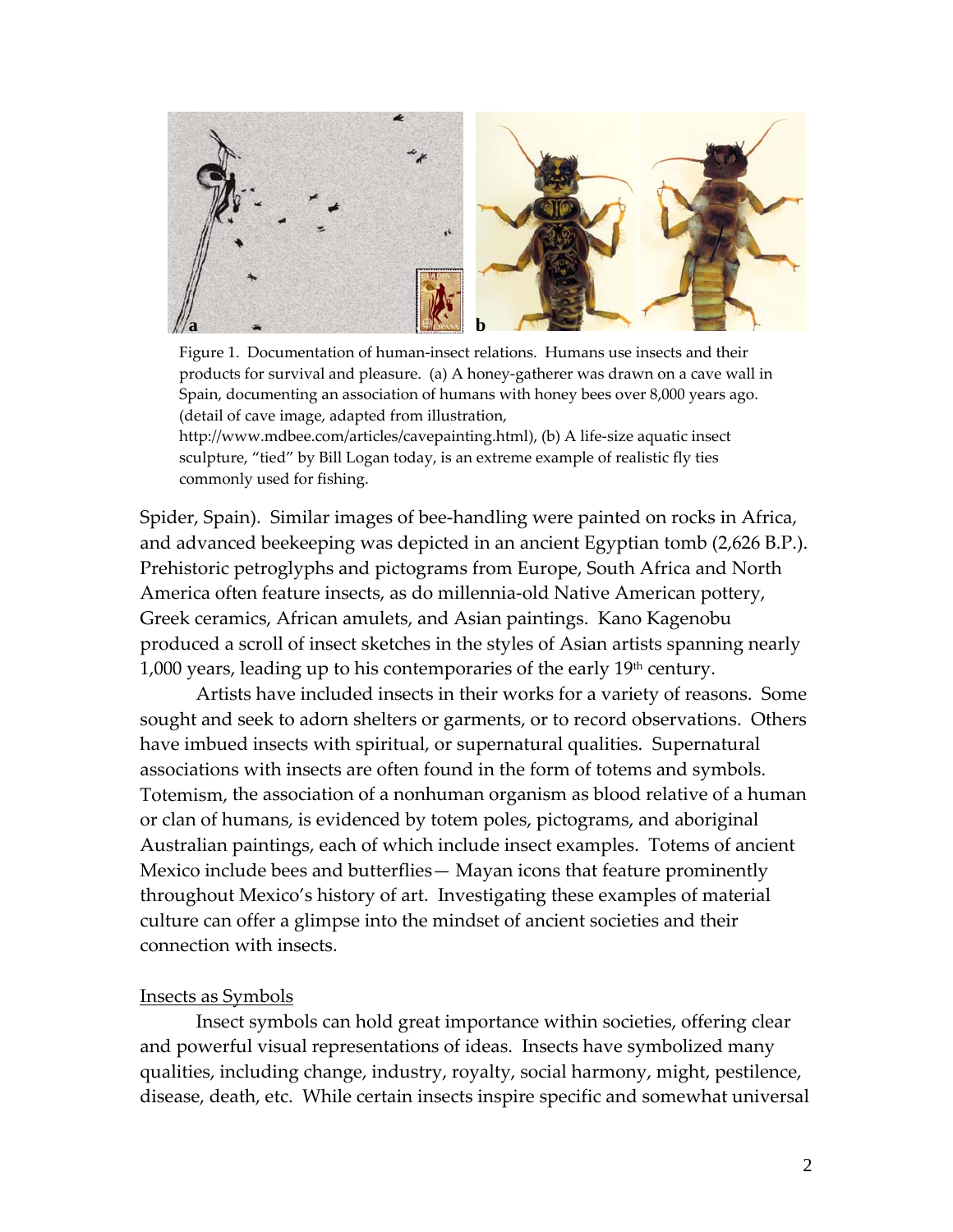

Figure 1. Documentation of human-insect relations. Humans use insects and their products for survival and pleasure. (a) A honey‐gatherer was drawn on a cave wall in Spain, documenting an association of humans with honey bees over 8,000 years ago. (detail of cave image, adapted from illustration,

http://www.mdbee.com/articles/cavepainting.html), (b) A life‐size aquatic insect sculpture, "tied" by Bill Logan today, is an extreme example of realistic fly ties commonly used for fishing.

Spider, Spain). Similar images of bee-handling were painted on rocks in Africa, and advanced beekeeping was depicted in an ancient Egyptian tomb (2,626 B.P.). Prehistoric petroglyphs and pictograms from Europe, South Africa and North America often feature insects, as do millennia‐old Native American pottery, Greek ceramics, African amulets, and Asian paintings. Kano Kagenobu produced a scroll of insect sketches in the styles of Asian artists spanning nearly  $1,000$  years, leading up to his contemporaries of the early  $19<sup>th</sup>$  century.

Artists have included insects in their works for a variety of reasons. Some sought and seek to adorn shelters or garments, or to record observations. Others have imbued insects with spiritual, or supernatural qualities. Supernatural associations with insects are often found in the form of totems and symbols. Totemism, the association of a nonhuman organism as blood relative of a human or clan of humans, is evidenced by totem poles, pictograms, and aboriginal Australian paintings, each of which include insect examples. Totems of ancient Mexico include bees and butterflies— Mayan icons that feature prominently throughout Mexico's history of art. Investigating these examples of material culture can offer a glimpse into the mindset of ancient societies and their connection with insects.

# Insects as Symbols

Insect symbols can hold great importance within societies, offering clear and powerful visual representations of ideas. Insects have symbolized many qualities, including change, industry, royalty, social harmony, might, pestilence, disease, death, etc. While certain insects inspire specific and somewhat universal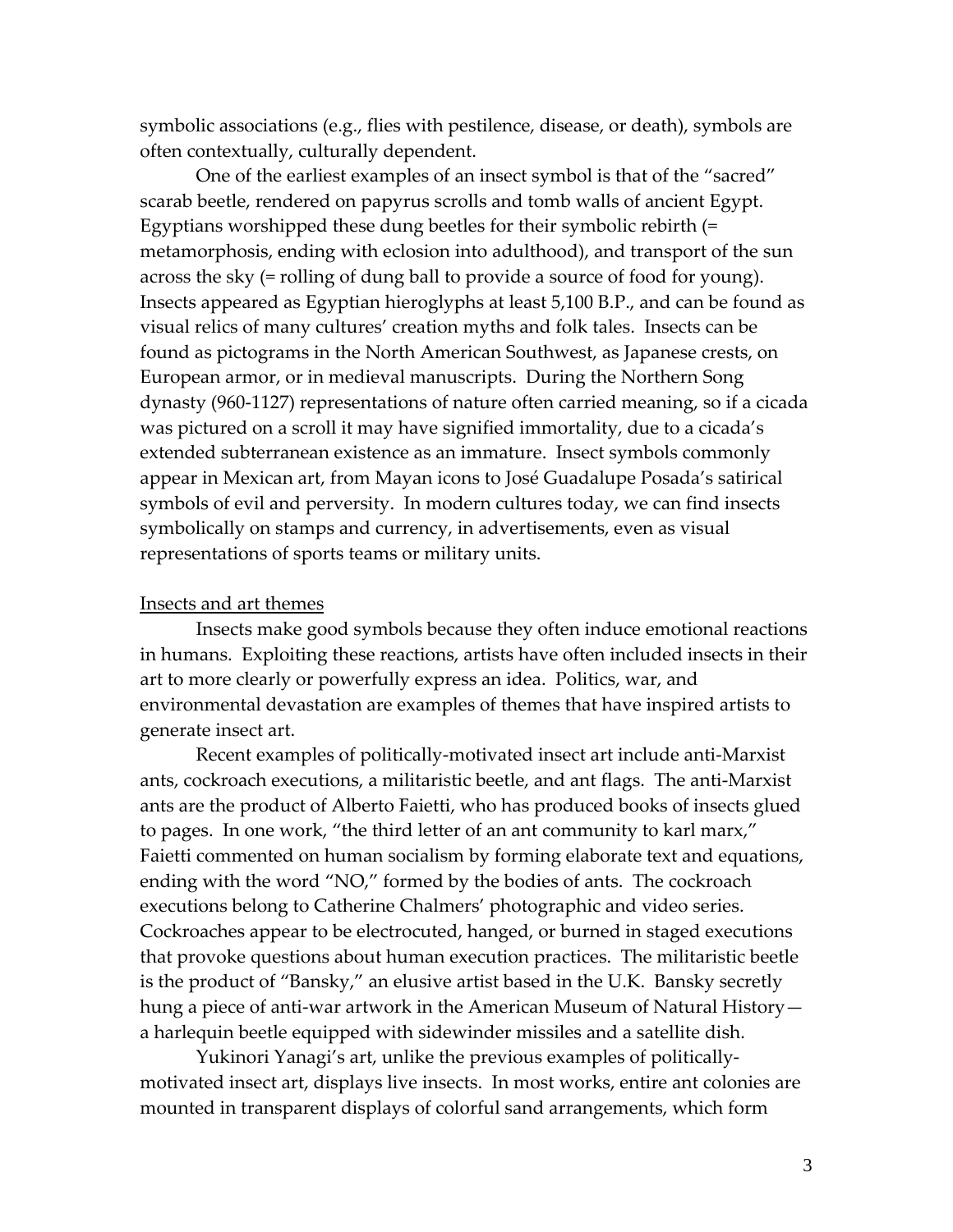symbolic associations (e.g., flies with pestilence, disease, or death), symbols are often contextually, culturally dependent.

One of the earliest examples of an insect symbol is that of the "sacred" scarab beetle, rendered on papyrus scrolls and tomb walls of ancient Egypt. Egyptians worshipped these dung beetles for their symbolic rebirth (= metamorphosis, ending with eclosion into adulthood), and transport of the sun across the sky (= rolling of dung ball to provide a source of food for young). Insects appeared as Egyptian hieroglyphs at least 5,100 B.P., and can be found as visual relics of many cultures' creation myths and folk tales. Insects can be found as pictograms in the North American Southwest, as Japanese crests, on European armor, or in medieval manuscripts. During the Northern Song dynasty (960‐1127) representations of nature often carried meaning, so if a cicada was pictured on a scroll it may have signified immortality, due to a cicada's extended subterranean existence as an immature. Insect symbols commonly appear in Mexican art, from Mayan icons to José Guadalupe Posada's satirical symbols of evil and perversity. In modern cultures today, we can find insects symbolically on stamps and currency, in advertisements, even as visual representations of sports teams or military units.

### Insects and art themes

Insects make good symbols because they often induce emotional reactions in humans. Exploiting these reactions, artists have often included insects in their art to more clearly or powerfully express an idea. Politics, war, and environmental devastation are examples of themes that have inspired artists to generate insect art.

Recent examples of politically‐motivated insect art include anti‐Marxist ants, cockroach executions, a militaristic beetle, and ant flags. The anti‐Marxist ants are the product of Alberto Faietti, who has produced books of insects glued to pages. In one work, "the third letter of an ant community to karl marx," Faietti commented on human socialism by forming elaborate text and equations, ending with the word "NO," formed by the bodies of ants. The cockroach executions belong to Catherine Chalmers' photographic and video series. Cockroaches appear to be electrocuted, hanged, or burned in staged executions that provoke questions about human execution practices. The militaristic beetle is the product of "Bansky," an elusive artist based in the U.K. Bansky secretly hung a piece of anti-war artwork in the American Museum of Natural History a harlequin beetle equipped with sidewinder missiles and a satellite dish.

Yukinori Yanagi's art, unlike the previous examples of politically‐ motivated insect art, displays live insects. In most works, entire ant colonies are mounted in transparent displays of colorful sand arrangements, which form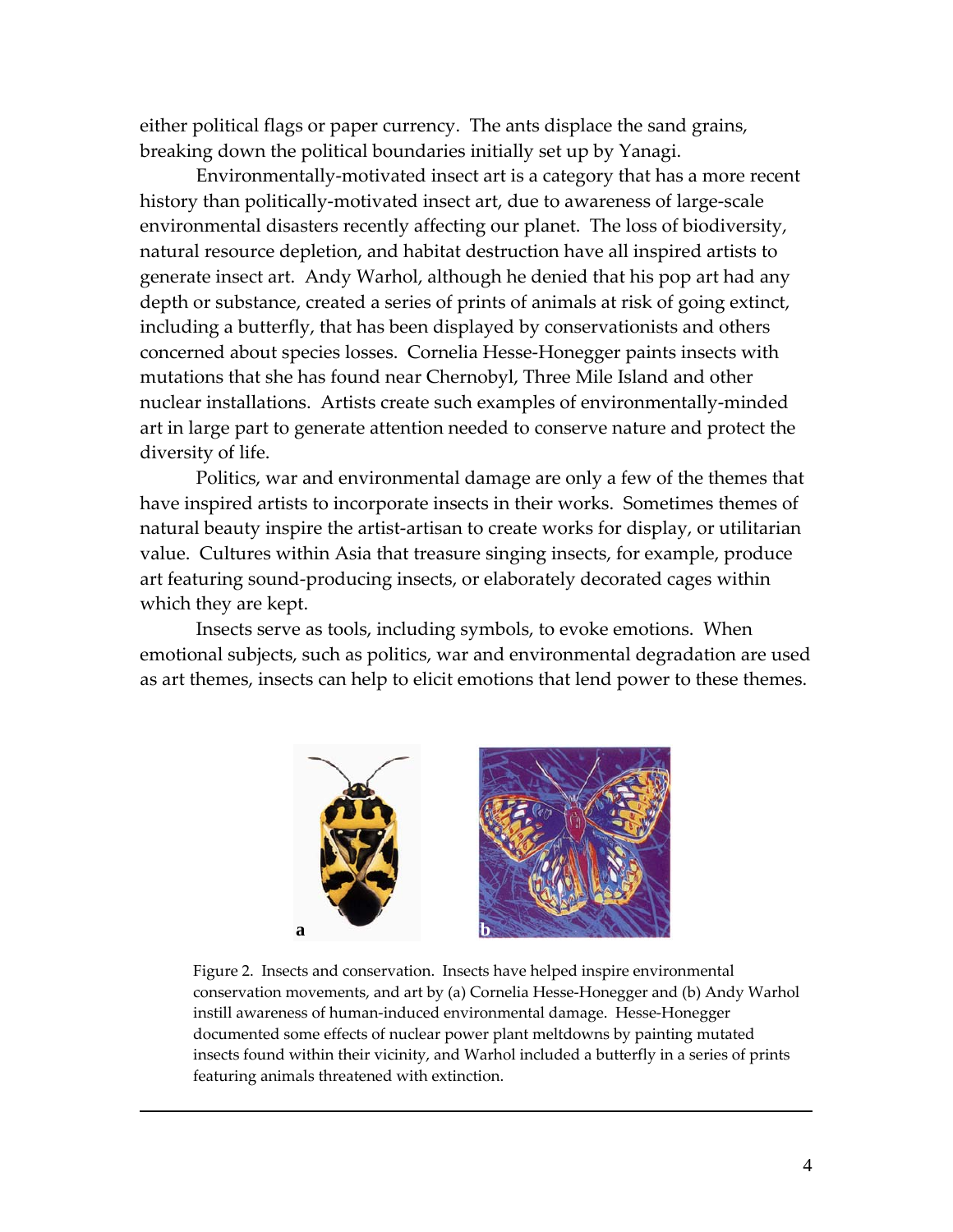either political flags or paper currency. The ants displace the sand grains, breaking down the political boundaries initially set up by Yanagi.

Environmentally‐motivated insect art is a category that has a more recent history than politically-motivated insect art, due to awareness of large-scale environmental disasters recently affecting our planet. The loss of biodiversity, natural resource depletion, and habitat destruction have all inspired artists to generate insect art. Andy Warhol, although he denied that his pop art had any depth or substance, created a series of prints of animals at risk of going extinct, including a butterfly, that has been displayed by conservationists and others concerned about species losses. Cornelia Hesse‐Honegger paints insects with mutations that she has found near Chernobyl, Three Mile Island and other nuclear installations. Artists create such examples of environmentally‐minded art in large part to generate attention needed to conserve nature and protect the diversity of life.

Politics, war and environmental damage are only a few of the themes that have inspired artists to incorporate insects in their works. Sometimes themes of natural beauty inspire the artist‐artisan to create works for display, or utilitarian value. Cultures within Asia that treasure singing insects, for example, produce art featuring sound‐producing insects, or elaborately decorated cages within which they are kept.

Insects serve as tools, including symbols, to evoke emotions. When emotional subjects, such as politics, war and environmental degradation are used as art themes, insects can help to elicit emotions that lend power to these themes.



Figure 2. Insects and conservation. Insects have helped inspire environmental conservation movements, and art by (a) Cornelia Hesse‐Honegger and (b) Andy Warhol instill awareness of human-induced environmental damage. Hesse-Honegger documented some effects of nuclear power plant meltdowns by painting mutated insects found within their vicinity, and Warhol included a butterfly in a series of prints featuring animals threatened with extinction.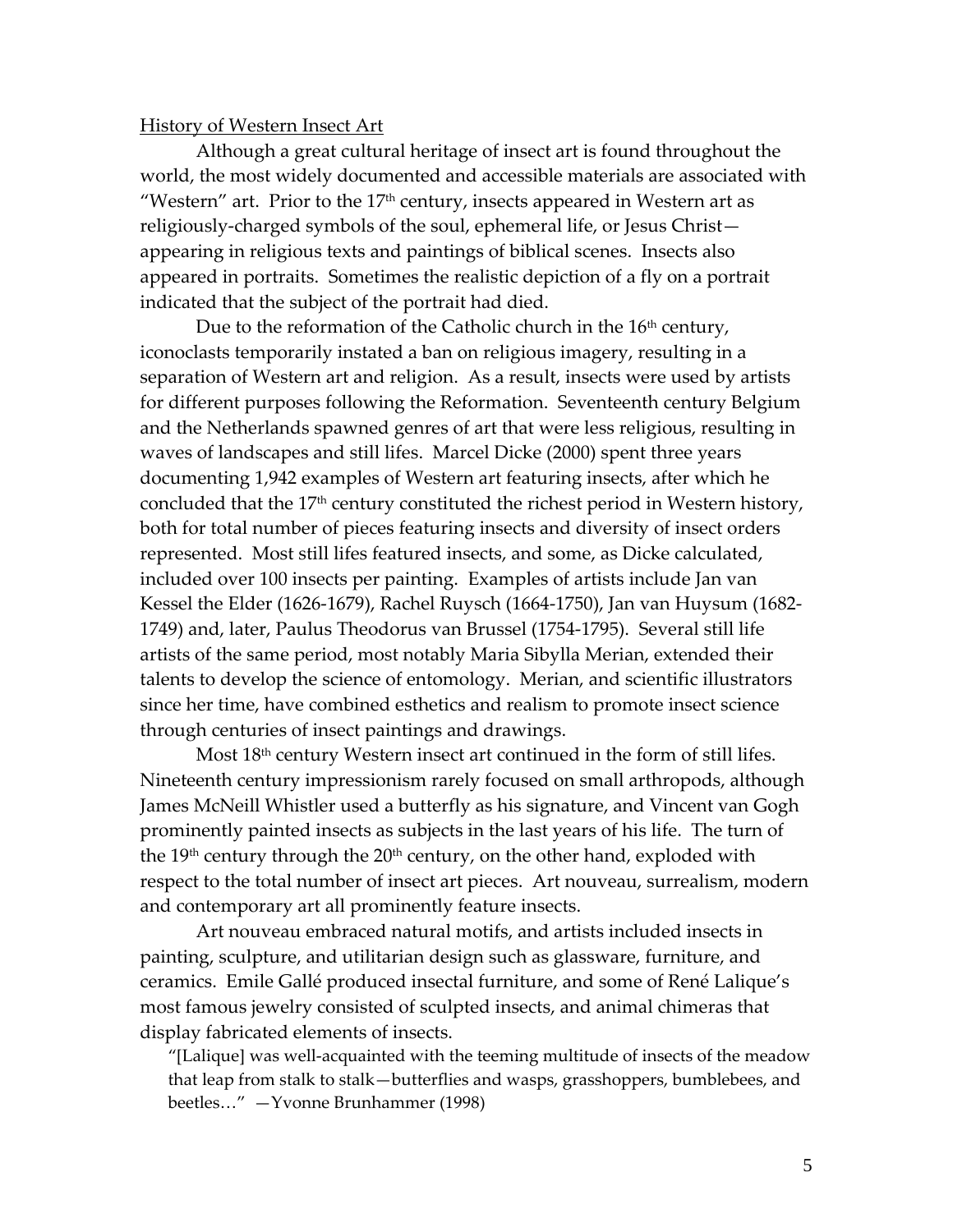### History of Western Insect Art

Although a great cultural heritage of insect art is found throughout the world, the most widely documented and accessible materials are associated with "Western" art. Prior to the  $17<sup>th</sup>$  century, insects appeared in Western art as religiously‐charged symbols of the soul, ephemeral life, or Jesus Christ appearing in religious texts and paintings of biblical scenes. Insects also appeared in portraits. Sometimes the realistic depiction of a fly on a portrait indicated that the subject of the portrait had died.

Due to the reformation of the Catholic church in the 16<sup>th</sup> century, iconoclasts temporarily instated a ban on religious imagery, resulting in a separation of Western art and religion. As a result, insects were used by artists for different purposes following the Reformation. Seventeenth century Belgium and the Netherlands spawned genres of art that were less religious, resulting in waves of landscapes and still lifes. Marcel Dicke (2000) spent three years documenting 1,942 examples of Western art featuring insects, after which he concluded that the 17<sup>th</sup> century constituted the richest period in Western history, both for total number of pieces featuring insects and diversity of insect orders represented. Most still lifes featured insects, and some, as Dicke calculated, included over 100 insects per painting. Examples of artists include Jan van Kessel the Elder (1626‐1679), Rachel Ruysch (1664‐1750), Jan van Huysum (1682‐ 1749) and, later, Paulus Theodorus van Brussel (1754‐1795). Several still life artists of the same period, most notably Maria Sibylla Merian, extended their talents to develop the science of entomology. Merian, and scientific illustrators since her time, have combined esthetics and realism to promote insect science through centuries of insect paintings and drawings.

Most 18<sup>th</sup> century Western insect art continued in the form of still lifes. Nineteenth century impressionism rarely focused on small arthropods, although James McNeill Whistler used a butterfly as his signature, and Vincent van Gogh prominently painted insects as subjects in the last years of his life. The turn of the  $19<sup>th</sup>$  century through the  $20<sup>th</sup>$  century, on the other hand, exploded with respect to the total number of insect art pieces. Art nouveau, surrealism, modern and contemporary art all prominently feature insects.

Art nouveau embraced natural motifs, and artists included insects in painting, sculpture, and utilitarian design such as glassware, furniture, and ceramics. Emile Gallé produced insectal furniture, and some of René Lalique's most famous jewelry consisted of sculpted insects, and animal chimeras that display fabricated elements of insects.

"[Lalique] was well‐acquainted with the teeming multitude of insects of the meadow that leap from stalk to stalk—butterflies and wasps, grasshoppers, bumblebees, and beetles…" —Yvonne Brunhammer (1998)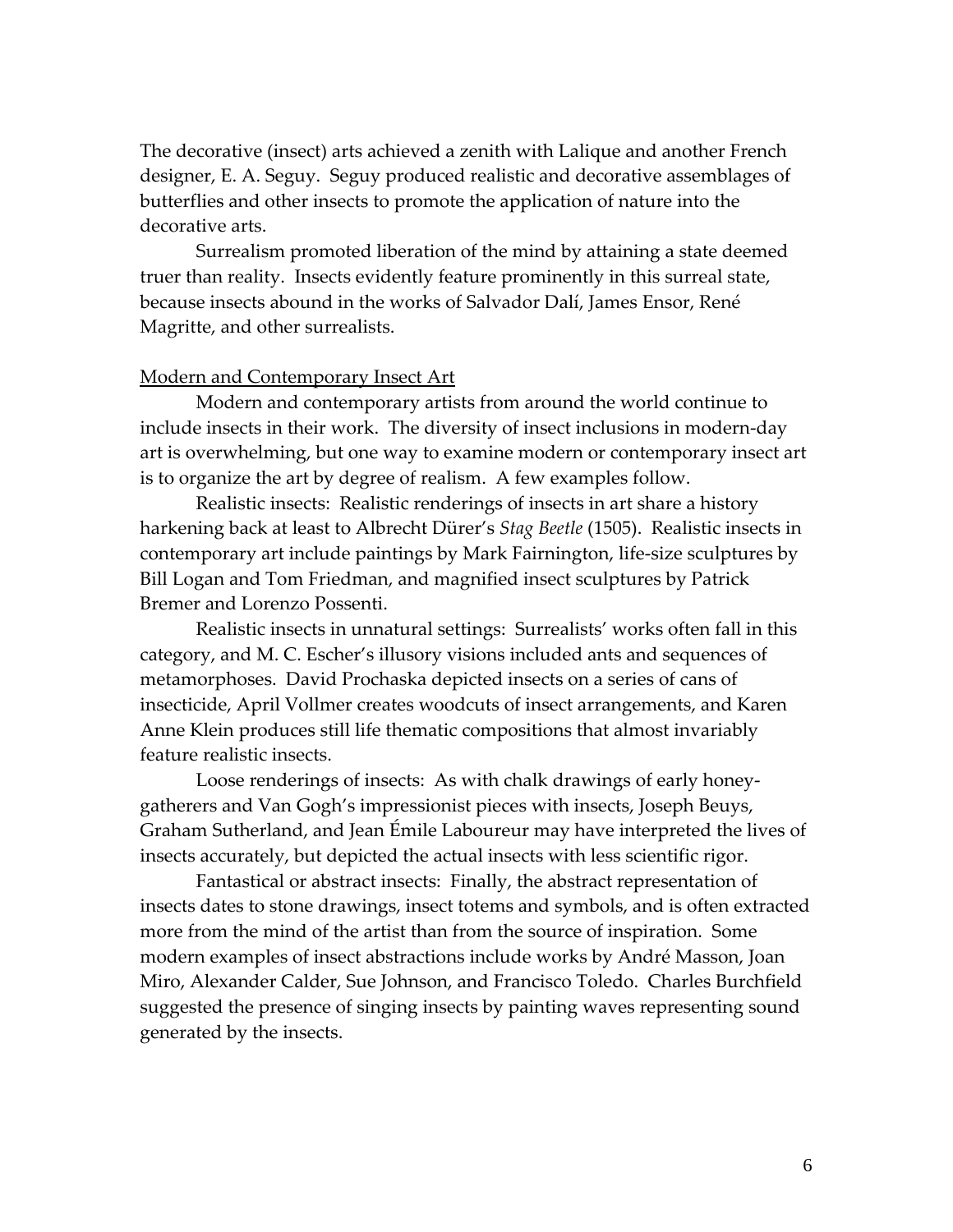The decorative (insect) arts achieved a zenith with Lalique and another French designer, E. A. Seguy. Seguy produced realistic and decorative assemblages of butterflies and other insects to promote the application of nature into the decorative arts.

Surrealism promoted liberation of the mind by attaining a state deemed truer than reality. Insects evidently feature prominently in this surreal state, because insects abound in the works of Salvador Dalí, James Ensor, René Magritte, and other surrealists.

# Modern and Contemporary Insect Art

Modern and contemporary artists from around the world continue to include insects in their work. The diversity of insect inclusions in modern‐day art is overwhelming, but one way to examine modern or contemporary insect art is to organize the art by degree of realism. A few examples follow.

Realistic insects: Realistic renderings of insects in art share a history harkening back at least to Albrecht Dürer's *Stag Beetle* (1505). Realistic insects in contemporary art include paintings by Mark Fairnington, life‐size sculptures by Bill Logan and Tom Friedman, and magnified insect sculptures by Patrick Bremer and Lorenzo Possenti.

Realistic insects in unnatural settings: Surrealists' works often fall in this category, and M. C. Escher's illusory visions included ants and sequences of metamorphoses. David Prochaska depicted insects on a series of cans of insecticide, April Vollmer creates woodcuts of insect arrangements, and Karen Anne Klein produces still life thematic compositions that almost invariably feature realistic insects.

Loose renderings of insects: As with chalk drawings of early honey‐ gatherers and Van Gogh's impressionist pieces with insects, Joseph Beuys, Graham Sutherland, and Jean Émile Laboureur may have interpreted the lives of insects accurately, but depicted the actual insects with less scientific rigor.

Fantastical or abstract insects: Finally, the abstract representation of insects dates to stone drawings, insect totems and symbols, and is often extracted more from the mind of the artist than from the source of inspiration. Some modern examples of insect abstractions include works by André Masson, Joan Miro, Alexander Calder, Sue Johnson, and Francisco Toledo. Charles Burchfield suggested the presence of singing insects by painting waves representing sound generated by the insects.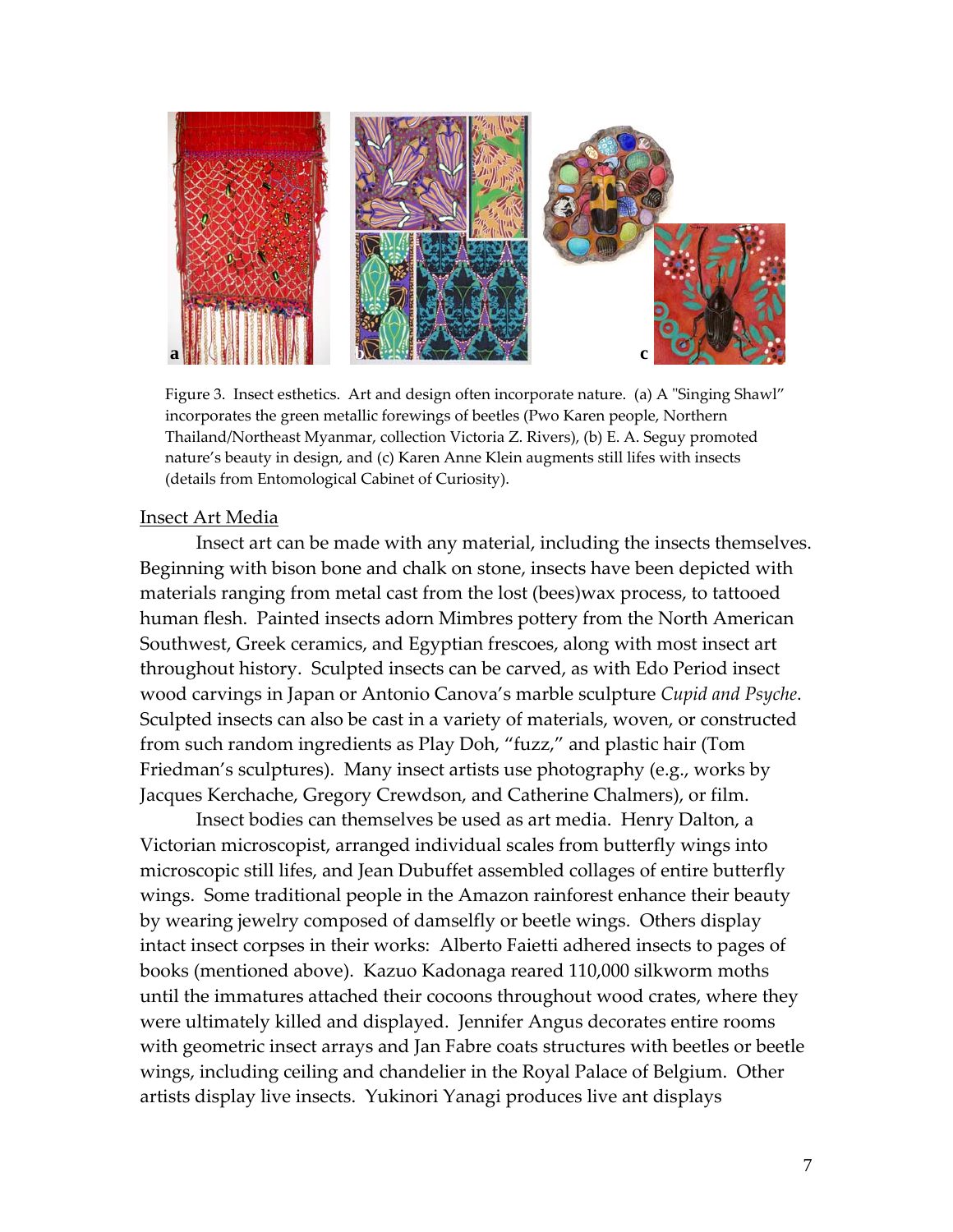

Figure 3. Insect esthetics. Art and design often incorporate nature. (a) A "Singing Shawl" incorporates the green metallic forewings of beetles (Pwo Karen people, Northern Thailand/Northeast Myanmar, collection Victoria Z. Rivers), (b) E. A. Seguy promoted nature's beauty in design, and (c) Karen Anne Klein augments still lifes with insects (details from Entomological Cabinet of Curiosity).

# Insect Art Media

Insect art can be made with any material, including the insects themselves. Beginning with bison bone and chalk on stone, insects have been depicted with materials ranging from metal cast from the lost (bees)wax process, to tattooed human flesh. Painted insects adorn Mimbres pottery from the North American Southwest, Greek ceramics, and Egyptian frescoes, along with most insect art throughout history. Sculpted insects can be carved, as with Edo Period insect wood carvings in Japan or Antonio Canova's marble sculpture *Cupid and Psyche*. Sculpted insects can also be cast in a variety of materials, woven, or constructed from such random ingredients as Play Doh, "fuzz," and plastic hair (Tom Friedman's sculptures). Many insect artists use photography (e.g., works by Jacques Kerchache, Gregory Crewdson, and Catherine Chalmers), or film.

Insect bodies can themselves be used as art media. Henry Dalton, a Victorian microscopist, arranged individual scales from butterfly wings into microscopic still lifes, and Jean Dubuffet assembled collages of entire butterfly wings. Some traditional people in the Amazon rainforest enhance their beauty by wearing jewelry composed of damselfly or beetle wings. Others display intact insect corpses in their works: Alberto Faietti adhered insects to pages of books (mentioned above). Kazuo Kadonaga reared 110,000 silkworm moths until the immatures attached their cocoons throughout wood crates, where they were ultimately killed and displayed. Jennifer Angus decorates entire rooms with geometric insect arrays and Jan Fabre coats structures with beetles or beetle wings, including ceiling and chandelier in the Royal Palace of Belgium. Other artists display live insects. Yukinori Yanagi produces live ant displays